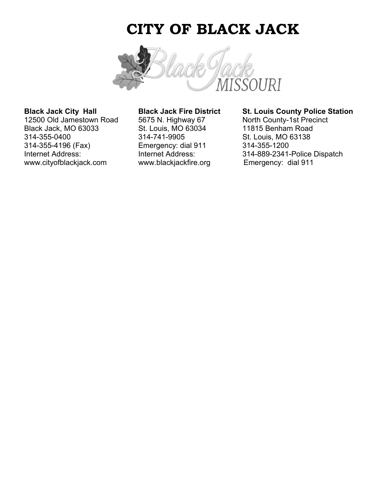## **CITY OF BLACK JACK**



12500 Old Jamestown Road 5675 N. Highway 67 Black Jack, MO 63033 St. Louis, MO 63034 11815 Benham Road 314-355-0400 314-741-9905 St. Louis, MO 63138 314-355-4196 (Fax) Emergency: dial 911 314-355-1200 www.cityofblackjack.com www.blackjackfire.org

# **Black Jack City Hall Black Jack Fire District St. Louis County Police Station**<br>12500 Old Jamestown Road 5675 N. Highway 67 North County-1st Precinct

Internet Address: Internet Address: Internet Address: 314-889-2341-Police Dispatch<br>
www.blackjackine.org Emergency: dial 911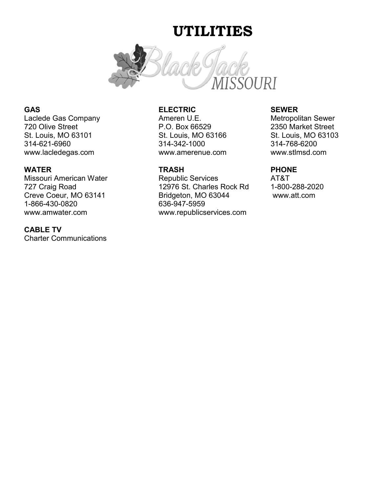## **UTILITIES**



Laclede Gas Company **Ameren U.E.** Metropolitan Sewer 720 Olive Street P.O. Box 66529 2350 Market Street St. Louis, MO 63101 St. Louis, MO 63166 St. Louis, MO 63103 www.lacledegas.com www.amerenue.com www.stlmsd.com

1-866-430-0820 636-947-5959

### **CABLE TV**

Charter Communications

### **GAS ELECTRIC SEWER**

314-342-1000

### **WATER TRASH PHONE**

Missouri American Water **Republic Services** AT&T 727 Craig Road 12976 St. Charles Rock Rd 1-800-288-2020 Creve Coeur, MO 63141 Bridgeton, MO 63044 www.att.com www.amwater.com www.republicservices.com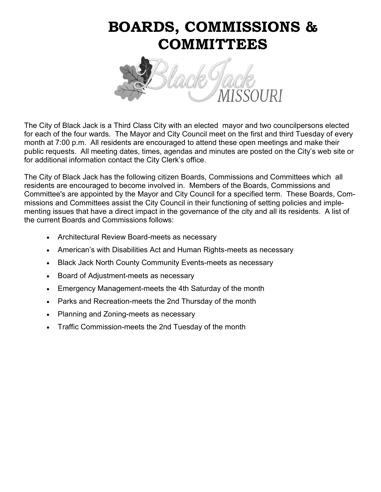# **BOARDS, COMMISSIONS & COMMITTEES**



The City of Black Jack is a Third Class City with an elected mayor and two councilpersons elected for each of the four wards. The Mayor and City Council meet on the first and third Tuesday of every month at 7:00 p.m. All residents are encouraged to attend these open meetings and make their public requests. All meeting dates, times, agendas and minutes are posted on the City's web site or for additional information contact the City Clerk's office.

The City of Black Jack has the following citizen Boards, Commissions and Committees which all residents are encouraged to become involved in. Members of the Boards, Commissions and Committee's are appointed by the Mayor and City Council for a specified term. These Boards, Commissions and Committees assist the City Council in their functioning of setting policies and implementing issues that have a direct impact in the governance of the city and all its residents. A list of the current Boards and Commissions follows:

- Architectural Review Board-meets as necessary
- American's with Disabilities Act and Human Rights-meets as necessary
- Black Jack North County Community Events-meets as necessary
- Board of Adjustment-meets as necessary
- Emergency Management-meets the 4th Saturday of the month
- Parks and Recreation-meets the 2nd Thursday of the month
- Planning and Zoning-meets as necessary
- Traffic Commission-meets the 2nd Tuesday of the month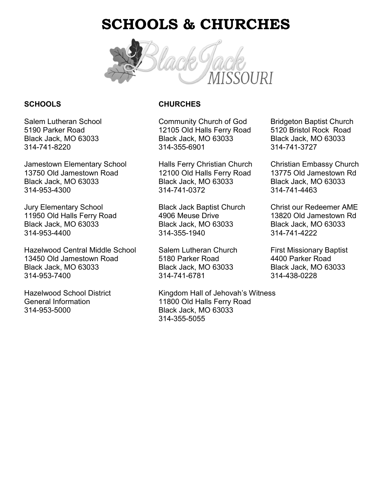## **SCHOOLS & CHURCHES**



Jamestown Elementary School Halls Ferry Christian Church Christian Embassy Church 13750 Old Jamestown Road 12100 Old Halls Ferry Road 13775 Old Jamestown Rd Black Jack, MO 63033 Black Jack, MO 63033 Black Jack, MO 63033 314-953-4300 314-741-0372 314-741-4463

Jury Elementary School Black Jack Baptist Church Christ our Redeemer AME 11950 Old Halls Ferry Road 4906 Meuse Drive 13820 Old Jamestown Rd Black Jack, MO 63033 Black Jack, MO 63033 Black Jack, MO 63033 314-953-4400 314-355-1940 314-741-4222

Hazelwood Central Middle School Salem Lutheran Church First Missionary Baptist 13450 Old Jamestown Road 5180 Parker Road 4400 Parker Road Black Jack, MO 63033 Black Jack, MO 63033 Black Jack, MO 63033 314-953-7400 314-741-6781 314-438-0228

314-953-5000 Black Jack, MO 63033

### **SCHOOLS CHURCHES**

Salem Lutheran School Community Church of God Bridgeton Baptist Church 5190 Parker Road 12105 Old Halls Ferry Road 5120 Bristol Rock Road Black Jack, MO 63033 Black Jack, MO 63033 Black Jack, MO 63033 314-741-8220 314-355-6901 314-741-3727

Hazelwood School District Kingdom Hall of Jehovah's Witness General Information 11800 Old Halls Ferry Road 314-355-5055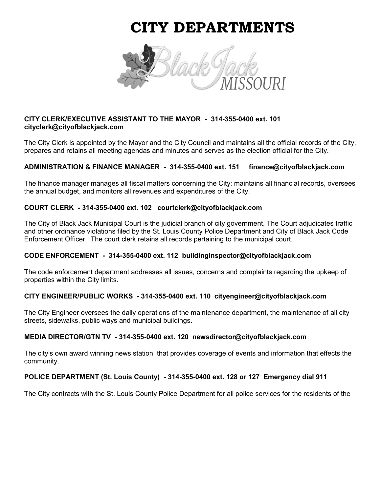## **CITY DEPARTMENTS**



### **CITY CLERK/EXECUTIVE ASSISTANT TO THE MAYOR - 314-355-0400 ext. 101 cityclerk@cityofblackjack.com**

The City Clerk is appointed by the Mayor and the City Council and maintains all the official records of the City, prepares and retains all meeting agendas and minutes and serves as the election official for the City.

#### **ADMINISTRATION & FINANCE MANAGER - 314-355-0400 ext. 151 finance@cityofblackjack.com**

The finance manager manages all fiscal matters concerning the City; maintains all financial records, oversees the annual budget, and monitors all revenues and expenditures of the City.

#### **COURT CLERK - 314-355-0400 ext. 102 courtclerk@cityofblackjack.com**

The City of Black Jack Municipal Court is the judicial branch of city government. The Court adjudicates traffic and other ordinance violations filed by the St. Louis County Police Department and City of Black Jack Code Enforcement Officer. The court clerk retains all records pertaining to the municipal court.

#### **CODE ENFORCEMENT - 314-355-0400 ext. 112 buildinginspector@cityofblackjack.com**

The code enforcement department addresses all issues, concerns and complaints regarding the upkeep of properties within the City limits.

#### **CITY ENGINEER/PUBLIC WORKS - 314-355-0400 ext. 110 cityengineer@cityofblackjack.com**

The City Engineer oversees the daily operations of the maintenance department, the maintenance of all city streets, sidewalks, public ways and municipal buildings.

#### **MEDIA DIRECTOR/GTN TV - 314-355-0400 ext. 120 newsdirector@cityofblackjack.com**

The city's own award winning news station that provides coverage of events and information that effects the community.

#### **POLICE DEPARTMENT (St. Louis County) - 314-355-0400 ext. 128 or 127 Emergency dial 911**

The City contracts with the St. Louis County Police Department for all police services for the residents of the